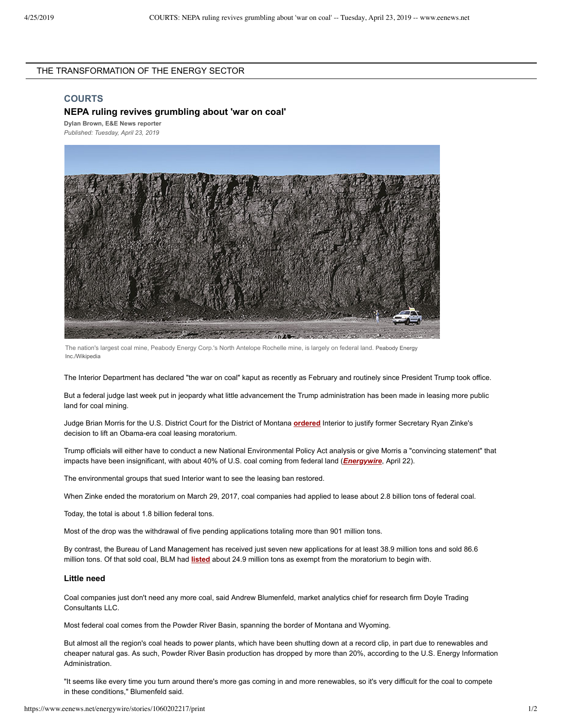# THE TRANSFORMATION OF THE ENERGY SECTOR

#### **COURTS**

## **NEPA ruling revives grumbling about 'war on coal'**

**Dylan [Brown](https://www.eenews.net/staff/Dylan_Brown), E&E News reporter** *Published: Tuesday, April 23, 2019*



The nation's largest coal mine, Peabody Energy Corp.'s North Antelope Rochelle mine, is largely on federal land. Peabody Energy Inc./Wikipedia

The Interior Department has declared "the war on coal" kaput as recently as February and routinely since President Trump took office.

But a federal judge last week put in jeopardy what little advancement the Trump administration has been made in leasing more public land for coal mining.

Judge Brian Morris for the U.S. District Court for the District of Montana **[ordered](https://www.eenews.net/assets/2019/04/22/document_ew_02.pdf)** Interior to justify former Secretary Ryan Zinke's decision to lift an Obama-era coal leasing moratorium.

Trump officials will either have to conduct a new National Environmental Policy Act analysis or give Morris a "convincing statement" that impacts have been insignificant, with about 40% of U.S. coal coming from federal land (*[Energywire](https://www.eenews.net/stories/1060196337)*, April 22).

The environmental groups that sued Interior want to see the leasing ban restored.

When Zinke ended the moratorium on March 29, 2017, coal companies had applied to lease about 2.8 billion tons of federal coal.

Today, the total is about 1.8 billion federal tons.

Most of the drop was the withdrawal of five pending applications totaling more than 901 million tons.

By contrast, the Bureau of Land Management has received just seven new applications for at least 38.9 million tons and sold 86.6 million tons. Of that sold coal, BLM had **[listed](https://www.blm.gov/sites/blm.gov/files/Currently%20Pending%20Federal%20Coal%20Leases.pdf)** about 24.9 million tons as exempt from the moratorium to begin with.

#### **Little need**

Coal companies just don't need any more coal, said Andrew Blumenfeld, market analytics chief for research firm Doyle Trading Consultants LLC.

Most federal coal comes from the Powder River Basin, spanning the border of Montana and Wyoming.

But almost all the region's coal heads to power plants, which have been shutting down at a record clip, in part due to renewables and cheaper natural gas. As such, Powder River Basin production has dropped by more than 20%, according to the U.S. Energy Information Administration.

"It seems like every time you turn around there's more gas coming in and more renewables, so it's very difficult for the coal to compete in these conditions," Blumenfeld said.